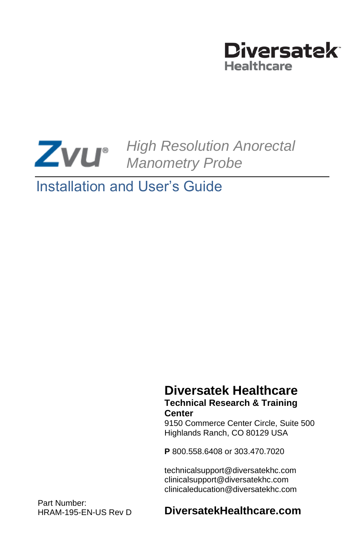

# *High Resolution Anorectal Manometry Probe*

# Installation and User's Guide

#### **Diversatek Healthcare Technical Research & Training Center**

9150 Commerce Center Circle, Suite 500 Highlands Ranch, CO 80129 USA

**P** 800.558.6408 or 303.470.7020

technicalsupport@diversatekhc.com clinicalsupport@diversatekhc.com clinicaleducation@diversatekhc.com

Part Number: HRAM-195-EN-US Rev D

#### **DiversatekHealthcare.com**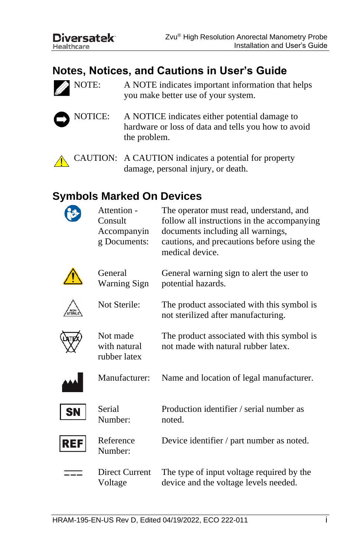### **Notes, Notices, and Cautions in User's Guide**

| NOTE:             | A NOTE indicates important information that helps<br>you make better use of your system.                             |
|-------------------|----------------------------------------------------------------------------------------------------------------------|
| $\bullet$ NOTICE: | A NOTICE indicates either potential damage to<br>hardware or loss of data and tells you how to avoid<br>the problem. |

A CAUTION: A CAUTION indicates a potential for property damage, personal injury, or death.

# **Symbols Marked On Devices**

| Attention -<br>Consult<br>Accompanyin<br>g Documents: | The operator must read, understand, and<br>follow all instructions in the accompanying<br>documents including all warnings,<br>cautions, and precautions before using the<br>medical device. |
|-------------------------------------------------------|----------------------------------------------------------------------------------------------------------------------------------------------------------------------------------------------|
| General<br>Warning Sign                               | General warning sign to alert the user to<br>potential hazards.                                                                                                                              |
| Not Sterile:                                          | The product associated with this symbol is<br>not sterilized after manufacturing.                                                                                                            |
| Not made<br>with natural<br>rubber latex              | The product associated with this symbol is<br>not made with natural rubber latex.                                                                                                            |
| Manufacturer:                                         | Name and location of legal manufacturer.                                                                                                                                                     |
| Serial<br>Number:                                     | Production identifier / serial number as<br>noted.                                                                                                                                           |
| Reference<br>Number:                                  | Device identifier / part number as noted.                                                                                                                                                    |
| Direct Current<br>Voltage                             | The type of input voltage required by the<br>device and the voltage levels needed.                                                                                                           |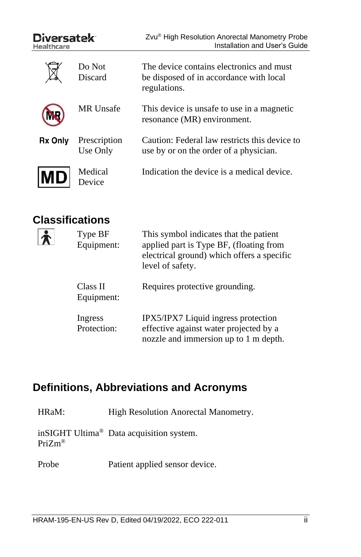| <b>Diversatek</b><br>Healthcare |                          | Zvu® High Resolution Anorectal Manometry Probe<br>Installation and User's Guide                     |  |
|---------------------------------|--------------------------|-----------------------------------------------------------------------------------------------------|--|
|                                 | Do Not<br>Discard        | The device contains electronics and must<br>be disposed of in accordance with local<br>regulations. |  |
|                                 | MR Unsafe                | This device is unsafe to use in a magnetic<br>resonance (MR) environment.                           |  |
| Rx Only                         | Prescription<br>Use Only | Caution: Federal law restricts this device to<br>use by or on the order of a physician.             |  |
|                                 | Medical<br>Device        | Indication the device is a medical device.                                                          |  |

## **Classifications**

 $\overline{\mathbf{r}}$ 

| Type BF<br>Equipment:  | This symbol indicates that the patient<br>applied part is Type BF, (floating from<br>electrical ground) which offers a specific<br>level of safety. |
|------------------------|-----------------------------------------------------------------------------------------------------------------------------------------------------|
| Class II<br>Equipment: | Requires protective grounding.                                                                                                                      |
| Ingress<br>Protection: | IPX5/IPX7 Liquid ingress protection<br>effective against water projected by a<br>nozzle and immersion up to 1 m depth.                              |

# **Definitions, Abbreviations and Acronyms**

HRaM: High Resolution Anorectal Manometry.

inSIGHT Ultima® Data acquisition system. PriZm®

Probe Patient applied sensor device.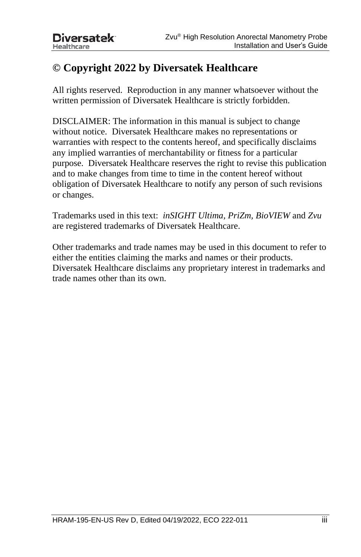## **© Copyright 2022 by Diversatek Healthcare**

All rights reserved. Reproduction in any manner whatsoever without the written permission of Diversatek Healthcare is strictly forbidden.

DISCLAIMER: The information in this manual is subject to change without notice. Diversatek Healthcare makes no representations or warranties with respect to the contents hereof, and specifically disclaims any implied warranties of merchantability or fitness for a particular purpose. Diversatek Healthcare reserves the right to revise this publication and to make changes from time to time in the content hereof without obligation of Diversatek Healthcare to notify any person of such revisions or changes.

Trademarks used in this text: *inSIGHT Ultima, PriZm, BioVIEW* and *Zvu* are registered trademarks of Diversatek Healthcare.

Other trademarks and trade names may be used in this document to refer to either the entities claiming the marks and names or their products. Diversatek Healthcare disclaims any proprietary interest in trademarks and trade names other than its own.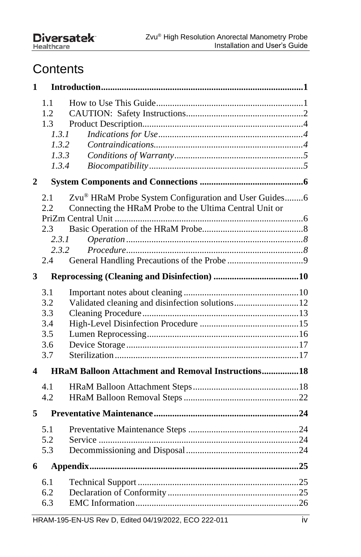# **Contents**

| 1            |         |                                                           |  |
|--------------|---------|-----------------------------------------------------------|--|
|              | 1.1     |                                                           |  |
|              | 1.2     |                                                           |  |
|              | $1.3 -$ |                                                           |  |
|              | 1.3.1   |                                                           |  |
|              | 1.3.2   |                                                           |  |
|              | 1.3.3   |                                                           |  |
|              | 1.3.4   |                                                           |  |
| $\mathbf{2}$ |         |                                                           |  |
|              | 2.1     | Zvu® HRaM Probe System Configuration and User Guides6     |  |
|              | 2.2.    | Connecting the HRaM Probe to the Ultima Central Unit or   |  |
|              |         |                                                           |  |
|              | 2.3     |                                                           |  |
|              | 2.3.1   |                                                           |  |
|              | 2.3.2   |                                                           |  |
|              | 2.4     |                                                           |  |
| 3            |         |                                                           |  |
|              | 3.1     |                                                           |  |
|              | 3.2     | Validated cleaning and disinfection solutions12           |  |
|              | 3.3     |                                                           |  |
|              | 3.4     |                                                           |  |
|              | 3.5     |                                                           |  |
|              | 3.6     |                                                           |  |
|              | 3.7     |                                                           |  |
| 4            |         | <b>HRaM Balloon Attachment and Removal Instructions18</b> |  |
|              | 4.1     |                                                           |  |
|              | 4.2     |                                                           |  |
| 5            |         |                                                           |  |
|              | 5.1     |                                                           |  |
|              | 5.2     |                                                           |  |
|              | 5.3     |                                                           |  |
| 6            |         |                                                           |  |
|              | 6.1     |                                                           |  |
|              | 6.2     |                                                           |  |
|              | 6.3     |                                                           |  |
|              |         |                                                           |  |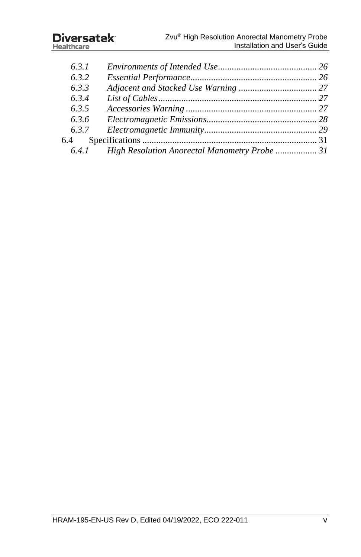| 6.3.1 |                                               |  |
|-------|-----------------------------------------------|--|
| 6.3.2 |                                               |  |
| 6.3.3 |                                               |  |
| 6.3.4 |                                               |  |
| 6.3.5 |                                               |  |
| 6.3.6 |                                               |  |
| 6.3.7 |                                               |  |
| 6.4   |                                               |  |
| 6.4.1 | High Resolution Anorectal Manometry Probe  31 |  |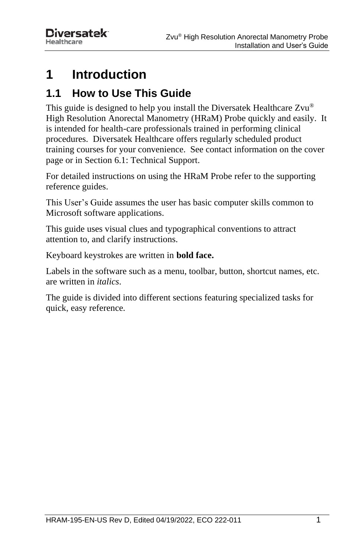# <span id="page-6-0"></span>**1 Introduction**

## <span id="page-6-1"></span>**1.1 How to Use This Guide**

This guide is designed to help you install the Diversatek Healthcare Zvu<sup>®</sup> High Resolution Anorectal Manometry (HRaM) Probe quickly and easily. It is intended for health-care professionals trained in performing clinical procedures. Diversatek Healthcare offers regularly scheduled product training courses for your convenience. See contact information on the cover page or in Section 6.1: Technical Support.

For detailed instructions on using the HRaM Probe refer to the supporting reference guides.

This User's Guide assumes the user has basic computer skills common to Microsoft software applications.

This guide uses visual clues and typographical conventions to attract attention to, and clarify instructions.

Keyboard keystrokes are written in **bold face.**

Labels in the software such as a menu, toolbar, button, shortcut names, etc. are written in *italics*.

The guide is divided into different sections featuring specialized tasks for quick, easy reference.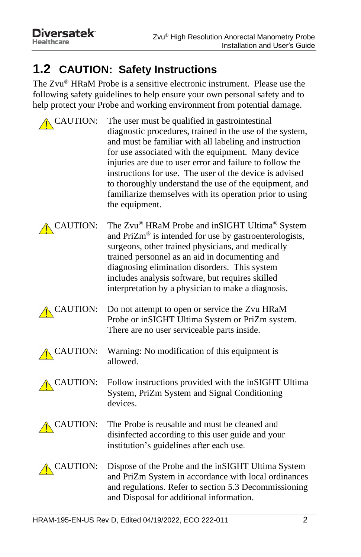# <span id="page-7-0"></span>**1.2 CAUTION: Safety Instructions**

The Zvu® HRaM Probe is a sensitive electronic instrument. Please use the following safety guidelines to help ensure your own personal safety and to help protect your Probe and working environment from potential damage.

| <b>CAUTION:</b> | The user must be qualified in gastrointestinal<br>diagnostic procedures, trained in the use of the system,<br>and must be familiar with all labeling and instruction<br>for use associated with the equipment. Many device<br>injuries are due to user error and failure to follow the<br>instructions for use. The user of the device is advised<br>to thoroughly understand the use of the equipment, and<br>familiarize themselves with its operation prior to using<br>the equipment. |
|-----------------|-------------------------------------------------------------------------------------------------------------------------------------------------------------------------------------------------------------------------------------------------------------------------------------------------------------------------------------------------------------------------------------------------------------------------------------------------------------------------------------------|
| CAUTION:        | The Zvu® HRaM Probe and inSIGHT Ultima® System<br>and $PriZm^{\circledast}$ is intended for use by gastroenterologists,<br>surgeons, other trained physicians, and medically<br>trained personnel as an aid in documenting and<br>diagnosing elimination disorders. This system<br>includes analysis software, but requires skilled<br>interpretation by a physician to make a diagnosis.                                                                                                 |
| CAUTION:        | Do not attempt to open or service the Zvu HRaM<br>Probe or inSIGHT Ultima System or PriZm system.<br>There are no user serviceable parts inside.                                                                                                                                                                                                                                                                                                                                          |
| CAUTION:        | Warning: No modification of this equipment is<br>allowed.                                                                                                                                                                                                                                                                                                                                                                                                                                 |
| CAUTION:        | Follow instructions provided with the inSIGHT Ultima<br>System, PriZm System and Signal Conditioning<br>devices.                                                                                                                                                                                                                                                                                                                                                                          |
| CAUTION:        | The Probe is reusable and must be cleaned and<br>disinfected according to this user guide and your<br>institution's guidelines after each use.                                                                                                                                                                                                                                                                                                                                            |
| <b>CAUTION:</b> | Dispose of the Probe and the inSIGHT Ultima System<br>and PriZm System in accordance with local ordinances<br>and regulations. Refer to section 5.3 Decommissioning<br>and Disposal for additional information.                                                                                                                                                                                                                                                                           |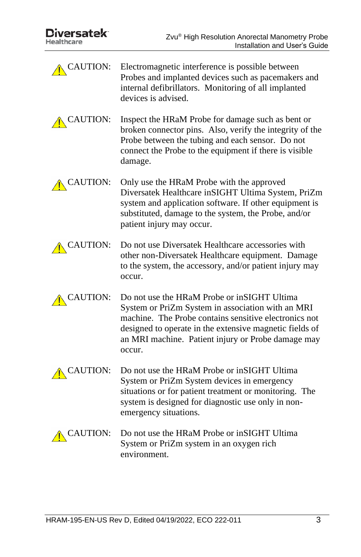| <b>CAUTION:</b> | Electromagnetic interference is possible between<br>Probes and implanted devices such as pacemakers and<br>internal defibrillators. Monitoring of all implanted<br>devices is advised.                                                                                                |
|-----------------|---------------------------------------------------------------------------------------------------------------------------------------------------------------------------------------------------------------------------------------------------------------------------------------|
| CAUTION:        | Inspect the HRaM Probe for damage such as bent or<br>broken connector pins. Also, verify the integrity of the<br>Probe between the tubing and each sensor. Do not<br>connect the Probe to the equipment if there is visible<br>damage.                                                |
| CAUTION:        | Only use the HRaM Probe with the approved<br>Diversatek Healthcare inSIGHT Ultima System, PriZm<br>system and application software. If other equipment is<br>substituted, damage to the system, the Probe, and/or<br>patient injury may occur.                                        |
| CAUTION:        | Do not use Diversatek Healthcare accessories with<br>other non-Diversatek Healthcare equipment. Damage<br>to the system, the accessory, and/or patient injury may<br>occur.                                                                                                           |
| CAUTION:        | Do not use the HRaM Probe or in SIGHT Ultima<br>System or PriZm System in association with an MRI<br>machine. The Probe contains sensitive electronics not<br>designed to operate in the extensive magnetic fields of<br>an MRI machine. Patient injury or Probe damage may<br>occur. |
| CAUTION:        | Do not use the HRaM Probe or inSIGHT Ultima<br>System or PriZm System devices in emergency<br>situations or for patient treatment or monitoring. The<br>system is designed for diagnostic use only in non-<br>emergency situations.                                                   |
| CAUTION:        | Do not use the HRaM Probe or in SIGHT Ultima<br>System or PriZm system in an oxygen rich<br>environment.                                                                                                                                                                              |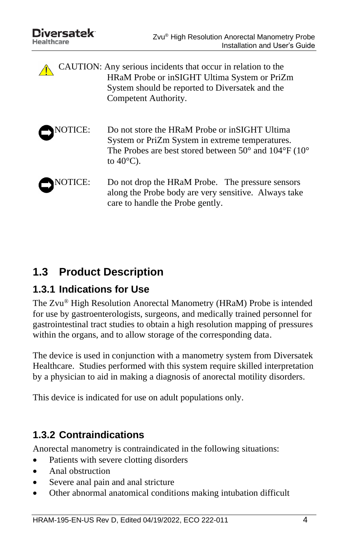CAUTION: Any serious incidents that occur in relation to the HRaM Probe or inSIGHT Ultima System or PriZm System should be reported to Diversatek and the Competent Authority.

- NOTICE: Do not store the HRaM Probe or inSIGHT Ultima System or PriZm System in extreme temperatures. The Probes are best stored between 50° and 104°F (10° to  $40^{\circ}$ C).
- NOTICE: Do not drop the HRaM Probe. The pressure sensors along the Probe body are very sensitive. Always take care to handle the Probe gently.

# <span id="page-9-0"></span>**1.3 Product Description**

### <span id="page-9-1"></span>**1.3.1 Indications for Use**

The Zvu® High Resolution Anorectal Manometry (HRaM) Probe is intended for use by gastroenterologists, surgeons, and medically trained personnel for gastrointestinal tract studies to obtain a high resolution mapping of pressures within the organs, and to allow storage of the corresponding data.

The device is used in conjunction with a manometry system from Diversatek Healthcare. Studies performed with this system require skilled interpretation by a physician to aid in making a diagnosis of anorectal motility disorders.

This device is indicated for use on adult populations only.

### <span id="page-9-2"></span>**1.3.2 Contraindications**

Anorectal manometry is contraindicated in the following situations:

- Patients with severe clotting disorders
- Anal obstruction
- Severe anal pain and anal stricture
- Other abnormal anatomical conditions making intubation difficult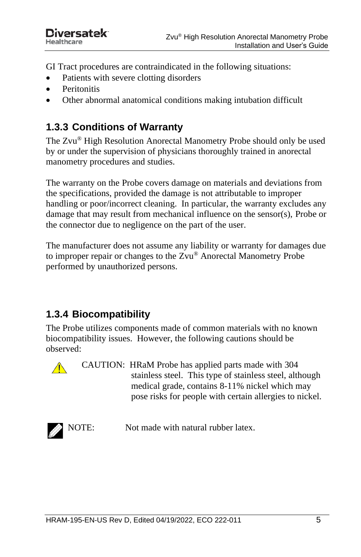GI Tract procedures are contraindicated in the following situations:

- Patients with severe clotting disorders
- Peritonitis
- Other abnormal anatomical conditions making intubation difficult

#### <span id="page-10-0"></span>**1.3.3 Conditions of Warranty**

The Zvu® High Resolution Anorectal Manometry Probe should only be used by or under the supervision of physicians thoroughly trained in anorectal manometry procedures and studies.

The warranty on the Probe covers damage on materials and deviations from the specifications, provided the damage is not attributable to improper handling or poor/incorrect cleaning. In particular, the warranty excludes any damage that may result from mechanical influence on the sensor(s), Probe or the connector due to negligence on the part of the user.

The manufacturer does not assume any liability or warranty for damages due to improper repair or changes to the Zvu® Anorectal Manometry Probe performed by unauthorized persons.

#### <span id="page-10-1"></span>**1.3.4 Biocompatibility**

The Probe utilizes components made of common materials with no known biocompatibility issues. However, the following cautions should be observed:



CAUTION: HRaM Probe has applied parts made with 304 stainless steel. This type of stainless steel, although medical grade, contains 8-11% nickel which may pose risks for people with certain allergies to nickel.

NOTE: Not made with natural rubber latex.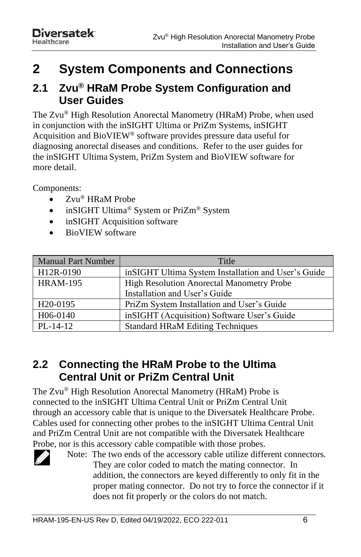# <span id="page-11-0"></span>**2 System Components and Connections**

#### <span id="page-11-1"></span>**2.1 Zvu® HRaM Probe System Configuration and User Guides**

The Zvu® High Resolution Anorectal Manometry (HRaM) Probe, when used in conjunction with the inSIGHT Ultima or PriZm Systems, inSIGHT Acquisition and BioVIEW® software provides pressure data useful for diagnosing anorectal diseases and conditions. Refer to the user guides for the inSIGHT Ultima System, PriZm System and BioVIEW software for more detail.

Components:

- Zvu<sup>®</sup> HRaM Probe
- inSIGHT Ultima<sup>®</sup> System or PriZm<sup>®</sup> System
- inSIGHT Acquisition software
- BioVIEW software

| <b>Manual Part Number</b> | Title                                               |
|---------------------------|-----------------------------------------------------|
| H <sub>12R</sub> -0190    | inSIGHT Ultima System Installation and User's Guide |
| <b>HRAM-195</b>           | High Resolution Anorectal Manometry Probe           |
|                           | Installation and User's Guide                       |
| H <sub>20</sub> -0195     | PriZm System Installation and User's Guide          |
| H06-0140                  | inSIGHT (Acquisition) Software User's Guide         |
| $PL-14-12$                | <b>Standard HRaM Editing Techniques</b>             |

#### <span id="page-11-2"></span>**2.2 Connecting the HRaM Probe to the Ultima Central Unit or PriZm Central Unit**

The Zvu® High Resolution Anorectal Manometry (HRaM) Probe is connected to the inSIGHT Ultima Central Unit or PriZm Central Unit through an accessory cable that is unique to the Diversatek Healthcare Probe. Cables used for connecting other probes to the inSIGHT Ultima Central Unit and PriZm Central Unit are not compatible with the Diversatek Healthcare Probe, nor is this accessory cable compatible with those probes.



Note: The two ends of the accessory cable utilize different connectors. They are color coded to match the mating connector. In addition, the connectors are keyed differently to only fit in the proper mating connector. Do not try to force the connector if it does not fit properly or the colors do not match.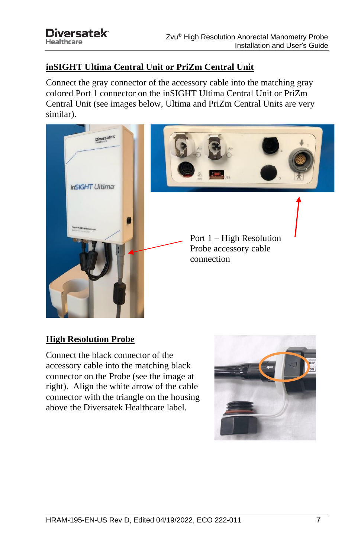#### **inSIGHT Ultima Central Unit or PriZm Central Unit**

Connect the gray connector of the accessory cable into the matching gray colored Port 1 connector on the inSIGHT Ultima Central Unit or PriZm Central Unit (see images below, Ultima and PriZm Central Units are very similar).



#### **High Resolution Probe**

Connect the black connector of the accessory cable into the matching black connector on the Probe (see the image at right). Align the white arrow of the cable connector with the triangle on the housing above the Diversatek Healthcare label.

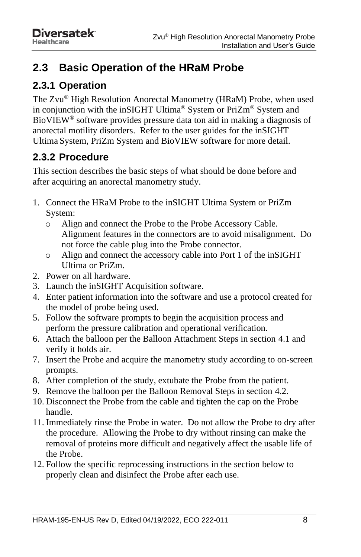# <span id="page-13-0"></span>**2.3 Basic Operation of the HRaM Probe**

#### <span id="page-13-1"></span>**2.3.1 Operation**

The Zvu® High Resolution Anorectal Manometry (HRaM) Probe, when used in conjunction with the inSIGHT Ultima® System or PriZm® System and BioVIEW® software provides pressure data ton aid in making a diagnosis of anorectal motility disorders. Refer to the user guides for the inSIGHT Ultima System, PriZm System and BioVIEW software for more detail.

#### <span id="page-13-2"></span>**2.3.2 Procedure**

This section describes the basic steps of what should be done before and after acquiring an anorectal manometry study.

- 1. Connect the HRaM Probe to the inSIGHT Ultima System or PriZm System:
	- o Align and connect the Probe to the Probe Accessory Cable. Alignment features in the connectors are to avoid misalignment. Do not force the cable plug into the Probe connector.
	- o Align and connect the accessory cable into Port 1 of the inSIGHT Ultima or PriZm.
- 2. Power on all hardware.
- 3. Launch the inSIGHT Acquisition software.
- 4. Enter patient information into the software and use a protocol created for the model of probe being used.
- 5. Follow the software prompts to begin the acquisition process and perform the pressure calibration and operational verification.
- 6. Attach the balloon per the Balloon Attachment Steps in section [4.1](#page-23-1) and verify it holds air.
- 7. Insert the Probe and acquire the manometry study according to on-screen prompts.
- 8. After completion of the study, extubate the Probe from the patient.
- 9. Remove the balloon per the Balloon Removal Steps in section [4.2.](#page-27-0)
- 10. Disconnect the Probe from the cable and tighten the cap on the Probe handle.
- 11. Immediately rinse the Probe in water. Do not allow the Probe to dry after the procedure. Allowing the Probe to dry without rinsing can make the removal of proteins more difficult and negatively affect the usable life of the Probe.
- 12. Follow the specific reprocessing instructions in the section below to properly clean and disinfect the Probe after each use.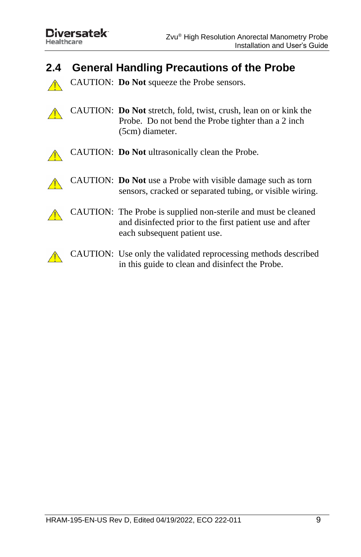## <span id="page-14-0"></span>**2.4 General Handling Precautions of the Probe**

- CAUTION: **Do Not** squeeze the Probe sensors.  $\bigwedge$ 
	- CAUTION: **Do Not** stretch, fold, twist, crush, lean on or kink the Probe. Do not bend the Probe tighter than a 2 inch (5cm) diameter.
	- CAUTION: **Do Not** ultrasonically clean the Probe.
- CAUTION: **Do Not** use a Probe with visible damage such as torn sensors, cracked or separated tubing, or visible wiring.
- CAUTION: The Probe is supplied non-sterile and must be cleaned and disinfected prior to the first patient use and after each subsequent patient use.
	- CAUTION: Use only the validated reprocessing methods described in this guide to clean and disinfect the Probe.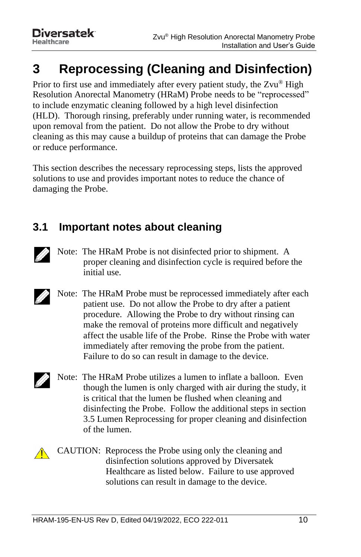# <span id="page-15-0"></span>**3 Reprocessing (Cleaning and Disinfection)**

Prior to first use and immediately after every patient study, the Zvu® High Resolution Anorectal Manometry (HRaM) Probe needs to be "reprocessed" to include enzymatic cleaning followed by a high level disinfection (HLD). Thorough rinsing, preferably under running water, is recommended upon removal from the patient. Do not allow the Probe to dry without cleaning as this may cause a buildup of proteins that can damage the Probe or reduce performance.

This section describes the necessary reprocessing steps, lists the approved solutions to use and provides important notes to reduce the chance of damaging the Probe.

# <span id="page-15-1"></span>**3.1 Important notes about cleaning**

Note: The HRaM Probe is not disinfected prior to shipment. A proper cleaning and disinfection cycle is required before the initial use.

Note: The HRaM Probe must be reprocessed immediately after each patient use. Do not allow the Probe to dry after a patient procedure. Allowing the Probe to dry without rinsing can make the removal of proteins more difficult and negatively affect the usable life of the Probe. Rinse the Probe with water immediately after removing the probe from the patient. Failure to do so can result in damage to the device.



CAUTION: Reprocess the Probe using only the cleaning and disinfection solutions approved by Diversatek Healthcare as listed below. Failure to use approved solutions can result in damage to the device.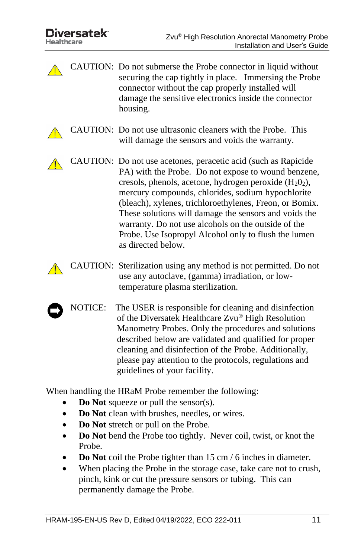CAUTION: Do not submerse the Probe connector in liquid without securing the cap tightly in place. Immersing the Probe connector without the cap properly installed will damage the sensitive electronics inside the connector housing.

CAUTION: Do not use ultrasonic cleaners with the Probe. This will damage the sensors and voids the warranty.

CAUTION: Do not use acetones, peracetic acid (such as Rapicide PA) with the Probe. Do not expose to wound benzene, cresols, phenols, acetone, hydrogen peroxide  $(H_2O_2)$ , mercury compounds, chlorides, sodium hypochlorite (bleach), xylenes, trichloroethylenes, Freon, or Bomix. These solutions will damage the sensors and voids the warranty. Do not use alcohols on the outside of the Probe. Use Isopropyl Alcohol only to flush the lumen as directed below.

CAUTION: Sterilization using any method is not permitted. Do not use any autoclave, (gamma) irradiation, or lowtemperature plasma sterilization.



NOTICE: The USER is responsible for cleaning and disinfection of the Diversatek Healthcare Zvu® High Resolution Manometry Probes. Only the procedures and solutions described below are validated and qualified for proper cleaning and disinfection of the Probe. Additionally, please pay attention to the protocols, regulations and guidelines of your facility.

When handling the HRaM Probe remember the following:

- **Do Not** squeeze or pull the sensor(s).
- **Do Not** clean with brushes, needles, or wires.
- **Do Not** stretch or pull on the Probe.
- **Do Not** bend the Probe too tightly. Never coil, twist, or knot the Probe.
- **Do Not** coil the Probe tighter than 15 cm / 6 inches in diameter.
- When placing the Probe in the storage case, take care not to crush, pinch, kink or cut the pressure sensors or tubing. This can permanently damage the Probe.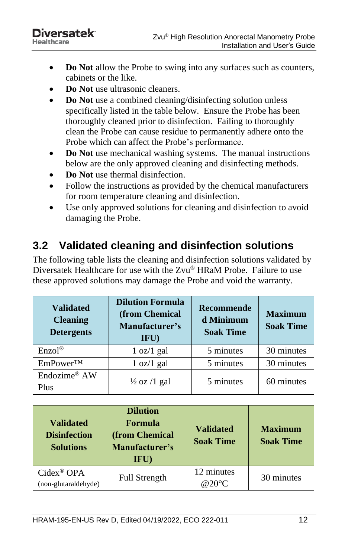- **Do Not** allow the Probe to swing into any surfaces such as counters, cabinets or the like.
- **Do Not** use ultrasonic cleaners.
- **Do Not** use a combined cleaning/disinfecting solution unless specifically listed in the table below. Ensure the Probe has been thoroughly cleaned prior to disinfection. Failing to thoroughly clean the Probe can cause residue to permanently adhere onto the Probe which can affect the Probe's performance.
- **Do Not** use mechanical washing systems. The manual instructions below are the only approved cleaning and disinfecting methods.
- **Do Not** use thermal disinfection.
- Follow the instructions as provided by the chemical manufacturers for room temperature cleaning and disinfection.
- Use only approved solutions for cleaning and disinfection to avoid damaging the Probe.

# <span id="page-17-0"></span>**3.2 Validated cleaning and disinfection solutions**

The following table lists the cleaning and disinfection solutions validated by Diversatek Healthcare for use with the Zvu® HRaM Probe. Failure to use these approved solutions may damage the Probe and void the warranty.

| <b>Validated</b><br><b>Cleaning</b><br><b>Detergents</b> | <b>Dilution Formula</b><br>(from Chemical<br>Manufacturer's<br>IFU) | Recommende<br>d Minimum<br><b>Soak Time</b> | <b>Maximum</b><br><b>Soak Time</b> |
|----------------------------------------------------------|---------------------------------------------------------------------|---------------------------------------------|------------------------------------|
| Enzol <sup>®</sup>                                       | 1 oz/1 gal                                                          | 5 minutes                                   | 30 minutes                         |
| $EmPower^{TM}$                                           | 1 oz/1 gal                                                          | 5 minutes                                   | 30 minutes                         |
| Endozime <sup>®</sup> AW<br>Plus                         | $\frac{1}{2}$ oz /1 gal                                             | 5 minutes                                   | 60 minutes                         |

| <b>Validated</b><br><b>Disinfection</b><br><b>Solutions</b> | <b>Dilution</b><br>Formula<br>(from Chemical<br>Manufacturer's<br>IFU) | <b>Validated</b><br><b>Soak Time</b> | <b>Maximum</b><br><b>Soak Time</b> |
|-------------------------------------------------------------|------------------------------------------------------------------------|--------------------------------------|------------------------------------|
| Cidex <sup>®</sup> OPA<br>(non-glutaraldehyde)              | <b>Full Strength</b>                                                   | 12 minutes<br>@20°C                  | 30 minutes                         |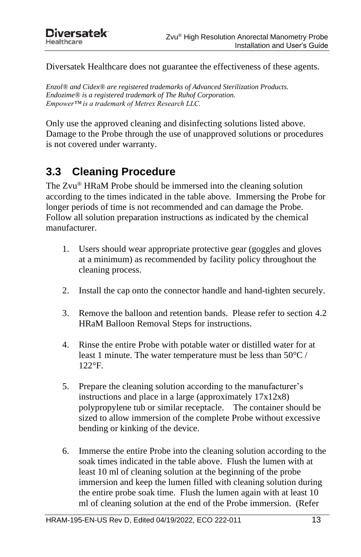Diversatek Healthcare does not guarantee the effectiveness of these agents.

*Enzol® and Cidex® are registered trademarks of Advanced Sterilization Products. Endozime® is a registered trademark of The Ruhof Corporation. Empower™ is a trademark of Metrex Research LLC.*

Only use the approved cleaning and disinfecting solutions listed above. Damage to the Probe through the use of unapproved solutions or procedures is not covered under warranty.

# <span id="page-18-0"></span>**3.3 Cleaning Procedure**

The Zvu® HRaM Probe should be immersed into the cleaning solution according to the times indicated in the table above. Immersing the Probe for longer periods of time is not recommended and can damage the Probe. Follow all solution preparation instructions as indicated by the chemical manufacturer.

- 1. Users should wear appropriate protective gear (goggles and gloves at a minimum) as recommended by facility policy throughout the cleaning process.
- 2. Install the cap onto the connector handle and hand-tighten securely.
- 3. Remove the balloon and retention bands. Please refer to section [4.2](#page-27-0) [HRaM Balloon Removal Steps](#page-27-0) for instructions.
- 4. Rinse the entire Probe with potable water or distilled water for at least 1 minute. The water temperature must be less than 50°C / 122°F.
- 5. Prepare the cleaning solution according to the manufacturer's instructions and place in a large (approximately 17x12x8) polypropylene tub or similar receptacle. The container should be sized to allow immersion of the complete Probe without excessive bending or kinking of the device.
- 6. Immerse the entire Probe into the cleaning solution according to the soak times indicated in the table above. Flush the lumen with at least 10 ml of cleaning solution at the beginning of the probe immersion and keep the lumen filled with cleaning solution during the entire probe soak time. Flush the lumen again with at least 10 ml of cleaning solution at the end of the Probe immersion. (Refer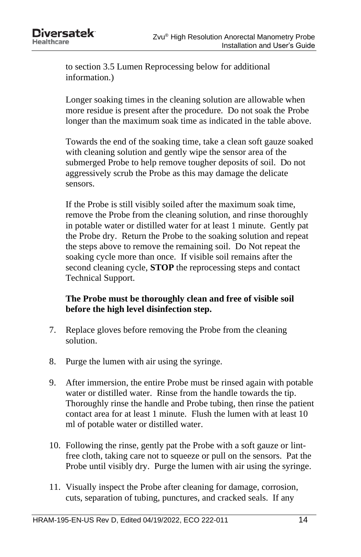to section [3.5](#page-21-0) [Lumen Reprocessing](#page-21-0) below for additional information.)

Longer soaking times in the cleaning solution are allowable when more residue is present after the procedure. Do not soak the Probe longer than the maximum soak time as indicated in the table above.

Towards the end of the soaking time, take a clean soft gauze soaked with cleaning solution and gently wipe the sensor area of the submerged Probe to help remove tougher deposits of soil. Do not aggressively scrub the Probe as this may damage the delicate sensors.

If the Probe is still visibly soiled after the maximum soak time, remove the Probe from the cleaning solution, and rinse thoroughly in potable water or distilled water for at least 1 minute. Gently pat the Probe dry. Return the Probe to the soaking solution and repeat the steps above to remove the remaining soil. Do Not repeat the soaking cycle more than once. If visible soil remains after the second cleaning cycle, **STOP** the reprocessing steps and contact Technical Support.

#### **The Probe must be thoroughly clean and free of visible soil before the high level disinfection step.**

- 7. Replace gloves before removing the Probe from the cleaning solution.
- 8. Purge the lumen with air using the syringe.
- 9. After immersion, the entire Probe must be rinsed again with potable water or distilled water. Rinse from the handle towards the tip. Thoroughly rinse the handle and Probe tubing, then rinse the patient contact area for at least 1 minute. Flush the lumen with at least 10 ml of potable water or distilled water.
- 10. Following the rinse, gently pat the Probe with a soft gauze or lintfree cloth, taking care not to squeeze or pull on the sensors. Pat the Probe until visibly dry. Purge the lumen with air using the syringe.
- 11. Visually inspect the Probe after cleaning for damage, corrosion, cuts, separation of tubing, punctures, and cracked seals. If any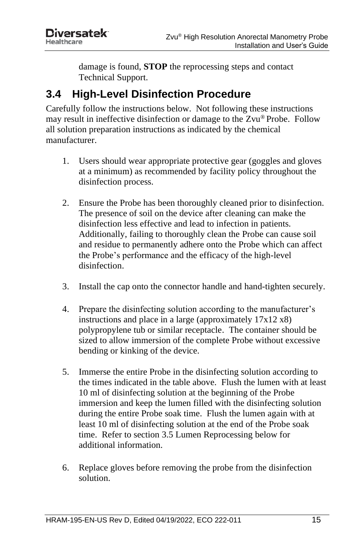damage is found, **STOP** the reprocessing steps and contact Technical Support.

### <span id="page-20-0"></span>**3.4 High-Level Disinfection Procedure**

Carefully follow the instructions below. Not following these instructions may result in ineffective disinfection or damage to the Zvu® Probe. Follow all solution preparation instructions as indicated by the chemical manufacturer.

- 1. Users should wear appropriate protective gear (goggles and gloves at a minimum) as recommended by facility policy throughout the disinfection process.
- 2. Ensure the Probe has been thoroughly cleaned prior to disinfection. The presence of soil on the device after cleaning can make the disinfection less effective and lead to infection in patients. Additionally, failing to thoroughly clean the Probe can cause soil and residue to permanently adhere onto the Probe which can affect the Probe's performance and the efficacy of the high-level disinfection.
- 3. Install the cap onto the connector handle and hand-tighten securely.
- 4. Prepare the disinfecting solution according to the manufacturer's instructions and place in a large (approximately 17x12 x8) polypropylene tub or similar receptacle. The container should be sized to allow immersion of the complete Probe without excessive bending or kinking of the device.
- 5. Immerse the entire Probe in the disinfecting solution according to the times indicated in the table above. Flush the lumen with at least 10 ml of disinfecting solution at the beginning of the Probe immersion and keep the lumen filled with the disinfecting solution during the entire Probe soak time. Flush the lumen again with at least 10 ml of disinfecting solution at the end of the Probe soak time. Refer to section [3.5](#page-21-0) [Lumen Reprocessing](#page-21-0) below for additional information.
- 6. Replace gloves before removing the probe from the disinfection solution.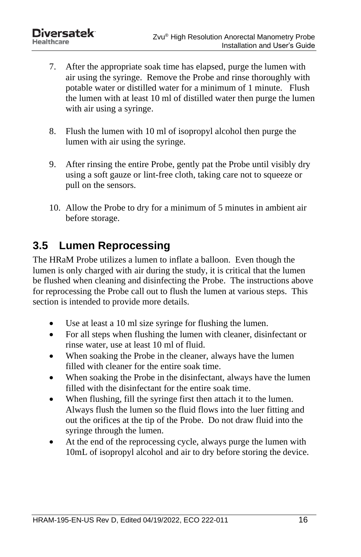- 7. After the appropriate soak time has elapsed, purge the lumen with air using the syringe. Remove the Probe and rinse thoroughly with potable water or distilled water for a minimum of 1 minute. Flush the lumen with at least 10 ml of distilled water then purge the lumen with air using a syringe.
- 8. Flush the lumen with 10 ml of isopropyl alcohol then purge the lumen with air using the syringe.
- 9. After rinsing the entire Probe, gently pat the Probe until visibly dry using a soft gauze or lint-free cloth, taking care not to squeeze or pull on the sensors.
- 10. Allow the Probe to dry for a minimum of 5 minutes in ambient air before storage.

## <span id="page-21-0"></span>**3.5 Lumen Reprocessing**

The HRaM Probe utilizes a lumen to inflate a balloon. Even though the lumen is only charged with air during the study, it is critical that the lumen be flushed when cleaning and disinfecting the Probe. The instructions above for reprocessing the Probe call out to flush the lumen at various steps. This section is intended to provide more details.

- Use at least a 10 ml size syringe for flushing the lumen.
- For all steps when flushing the lumen with cleaner, disinfectant or rinse water, use at least 10 ml of fluid.
- When soaking the Probe in the cleaner, always have the lumen filled with cleaner for the entire soak time.
- When soaking the Probe in the disinfectant, always have the lumen filled with the disinfectant for the entire soak time.
- When flushing, fill the syringe first then attach it to the lumen. Always flush the lumen so the fluid flows into the luer fitting and out the orifices at the tip of the Probe. Do not draw fluid into the syringe through the lumen.
- At the end of the reprocessing cycle, always purge the lumen with 10mL of isopropyl alcohol and air to dry before storing the device.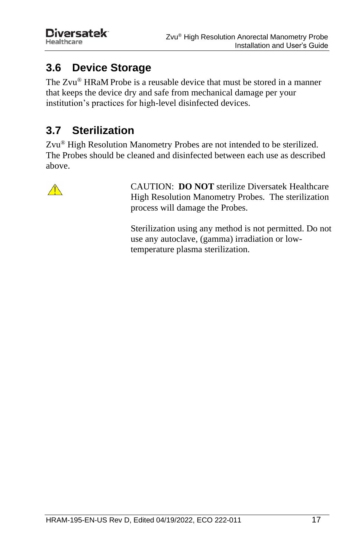# <span id="page-22-0"></span>**3.6 Device Storage**

The Zvu® HRaM Probe is a reusable device that must be stored in a manner that keeps the device dry and safe from mechanical damage per your institution's practices for high-level disinfected devices.

# <span id="page-22-1"></span>**3.7 Sterilization**

Zvu® High Resolution Manometry Probes are not intended to be sterilized. The Probes should be cleaned and disinfected between each use as described above.



CAUTION: **DO NOT** sterilize Diversatek Healthcare High Resolution Manometry Probes. The sterilization process will damage the Probes.

Sterilization using any method is not permitted. Do not use any autoclave, (gamma) irradiation or lowtemperature plasma sterilization.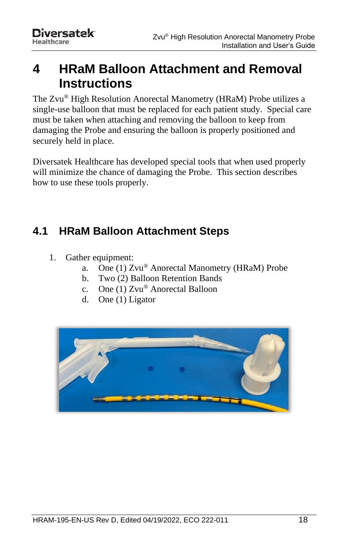# <span id="page-23-0"></span>**4 HRaM Balloon Attachment and Removal Instructions**

The Zvu® High Resolution Anorectal Manometry (HRaM) Probe utilizes a single-use balloon that must be replaced for each patient study. Special care must be taken when attaching and removing the balloon to keep from damaging the Probe and ensuring the balloon is properly positioned and securely held in place.

Diversatek Healthcare has developed special tools that when used properly will minimize the chance of damaging the Probe. This section describes how to use these tools properly.

# <span id="page-23-1"></span>**4.1 HRaM Balloon Attachment Steps**

- 1. Gather equipment:
	- a. One (1) Zvu® Anorectal Manometry (HRaM) Probe
	- b. Two (2) Balloon Retention Bands
	- c. One (1) Zvu® Anorectal Balloon
	- d. One (1) Ligator

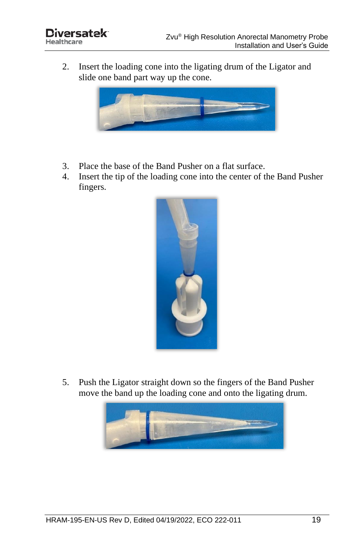2. Insert the loading cone into the ligating drum of the Ligator and slide one band part way up the cone.



- 3. Place the base of the Band Pusher on a flat surface.
- 4. Insert the tip of the loading cone into the center of the Band Pusher fingers.



5. Push the Ligator straight down so the fingers of the Band Pusher move the band up the loading cone and onto the ligating drum.

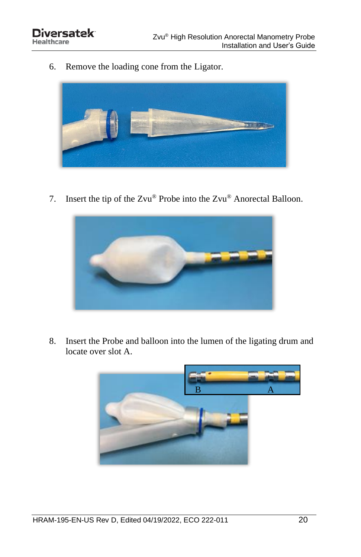6. Remove the loading cone from the Ligator.



7. Insert the tip of the Zvu® Probe into the Zvu® Anorectal Balloon.



8. Insert the Probe and balloon into the lumen of the ligating drum and locate over slot A.

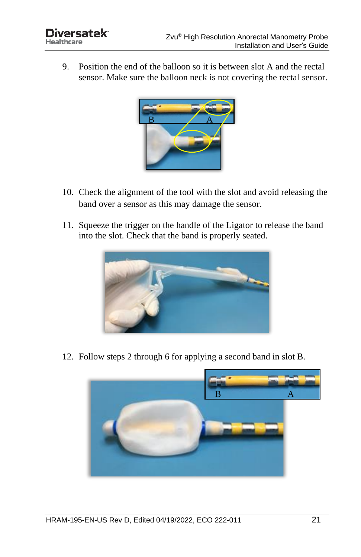9. Position the end of the balloon so it is between slot A and the rectal sensor. Make sure the balloon neck is not covering the rectal sensor.



- 10. Check the alignment of the tool with the slot and avoid releasing the band over a sensor as this may damage the sensor.
- 11. Squeeze the trigger on the handle of the Ligator to release the band into the slot. Check that the band is properly seated.



12. Follow steps 2 through 6 for applying a second band in slot B.

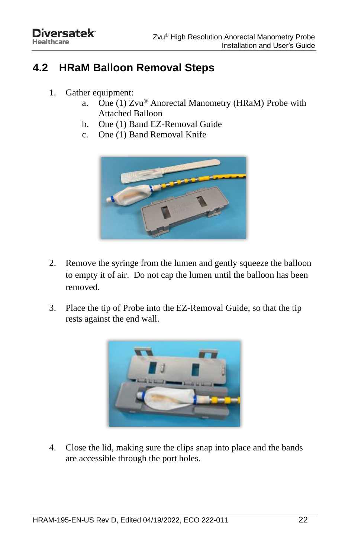## <span id="page-27-0"></span>**4.2 HRaM Balloon Removal Steps**

- 1. Gather equipment:
	- a. One (1) Zvu® Anorectal Manometry (HRaM) Probe with Attached Balloon
	- b. One (1) Band EZ-Removal Guide
	- c. One (1) Band Removal Knife



- 2. Remove the syringe from the lumen and gently squeeze the balloon to empty it of air. Do not cap the lumen until the balloon has been removed.
- 3. Place the tip of Probe into the EZ-Removal Guide, so that the tip rests against the end wall.



4. Close the lid, making sure the clips snap into place and the bands are accessible through the port holes.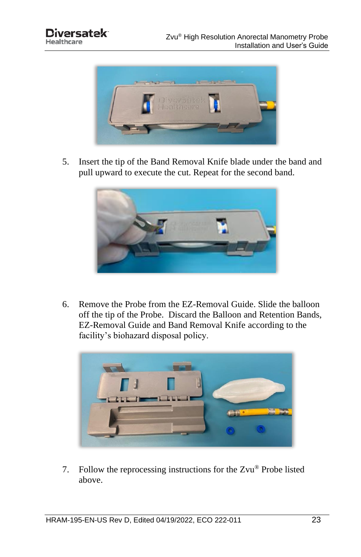

5. Insert the tip of the Band Removal Knife blade under the band and pull upward to execute the cut. Repeat for the second band.



6. Remove the Probe from the EZ-Removal Guide. Slide the balloon off the tip of the Probe. Discard the Balloon and Retention Bands, EZ-Removal Guide and Band Removal Knife according to the facility's biohazard disposal policy.



7. Follow the reprocessing instructions for the Zvu® Probe listed above.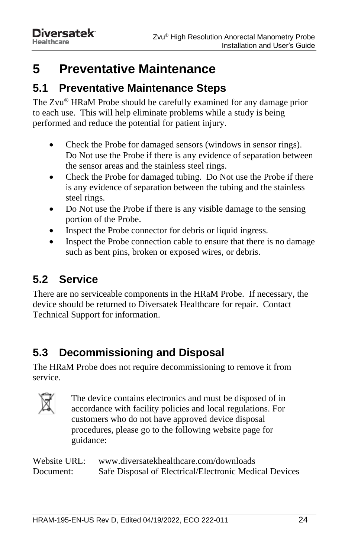# <span id="page-29-0"></span>**5 Preventative Maintenance**

#### <span id="page-29-1"></span>**5.1 Preventative Maintenance Steps**

The Zvu® HRaM Probe should be carefully examined for any damage prior to each use. This will help eliminate problems while a study is being performed and reduce the potential for patient injury.

- Check the Probe for damaged sensors (windows in sensor rings). Do Not use the Probe if there is any evidence of separation between the sensor areas and the stainless steel rings.
- Check the Probe for damaged tubing. Do Not use the Probe if there is any evidence of separation between the tubing and the stainless steel rings.
- Do Not use the Probe if there is any visible damage to the sensing portion of the Probe.
- Inspect the Probe connector for debris or liquid ingress.
- Inspect the Probe connection cable to ensure that there is no damage such as bent pins, broken or exposed wires, or debris.

# <span id="page-29-2"></span>**5.2 Service**

There are no serviceable components in the HRaM Probe. If necessary, the device should be returned to Diversatek Healthcare for repair. Contact Technical Support for information.

# <span id="page-29-3"></span>**5.3 Decommissioning and Disposal**

The HRaM Probe does not require decommissioning to remove it from service.



The device contains electronics and must be disposed of in accordance with facility policies and local regulations. For customers who do not have approved device disposal procedures, please go to the following website page for guidance:

| Website URL: | www.diversatekhealthcare.com/downloads                 |
|--------------|--------------------------------------------------------|
| Document:    | Safe Disposal of Electrical/Electronic Medical Devices |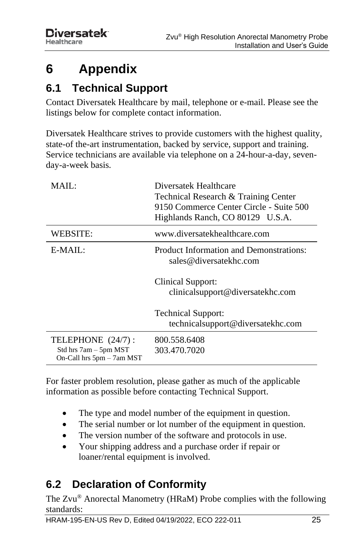# <span id="page-30-0"></span>**6 Appendix**

# <span id="page-30-1"></span>**6.1 Technical Support**

Contact Diversatek Healthcare by mail, telephone or e-mail. Please see the listings below for complete contact information.

Diversatek Healthcare strives to provide customers with the highest quality, state-of the-art instrumentation, backed by service, support and training. Service technicians are available via telephone on a 24-hour-a-day, sevenday-a-week basis.

| MAIL:                                                                        | Diversatek Healthcare<br>Technical Research & Training Center<br>9150 Commerce Center Circle - Suite 500<br>Highlands Ranch, CO 80129 U.S.A. |  |  |
|------------------------------------------------------------------------------|----------------------------------------------------------------------------------------------------------------------------------------------|--|--|
| WEBSITE:                                                                     | www.diversatekhealthcare.com                                                                                                                 |  |  |
| $E-MAIL:$                                                                    | <b>Product Information and Demonstrations:</b><br>sales@diversatekhc.com                                                                     |  |  |
|                                                                              | Clinical Support:<br>clinicalsupport@diversatekhc.com                                                                                        |  |  |
|                                                                              | Technical Support:<br>technicalsupport@diversatekhc.com                                                                                      |  |  |
| TELEPHONE $(24/7)$ :<br>Std hrs 7am – 5pm MST<br>On-Call hrs $5pm - 7am MST$ | 800.558.6408<br>303.470.7020                                                                                                                 |  |  |

For faster problem resolution, please gather as much of the applicable information as possible before contacting Technical Support.

- The type and model number of the equipment in question.
- The serial number or lot number of the equipment in question.
- The version number of the software and protocols in use.
- Your shipping address and a purchase order if repair or loaner/rental equipment is involved.

# <span id="page-30-2"></span>**6.2 Declaration of Conformity**

The Zvu® Anorectal Manometry (HRaM) Probe complies with the following standards: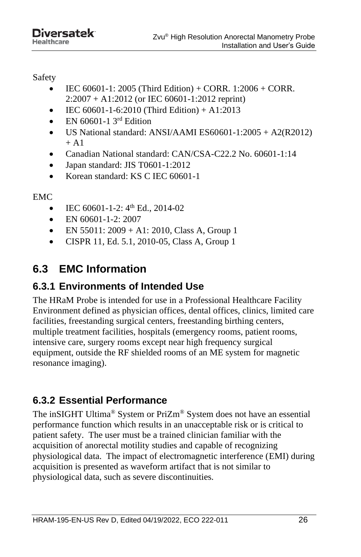Safety

- IEC  $60601 1$ : 2005 (Third Edition) + CORR. 1:2006 + CORR. 2:2007 + A1:2012 (or IEC 60601-1:2012 reprint)
- IEC  $60601 1 6:2010$  (Third Edition) + A1:2013
- EN  $60601-1$  3<sup>rd</sup> Edition
- US National standard: ANSI/AAMI ES60601-1:2005 + A2(R2012)  $+$  A<sub>1</sub>
- Canadian National standard: CAN/CSA-C22.2 No. 60601-1:14
- Japan standard: JIS T0601-1:2012
- Korean standard: KS C IEC 60601-1

#### EMC

- IEC  $60601 1 2$ :  $4<sup>th</sup>$  Ed., 2014-02
- EN 60601-1-2: 2007
- EN 55011: 2009 + A1: 2010, Class A, Group 1
- CISPR 11, Ed. 5.1, 2010-05, Class A, Group 1

# <span id="page-31-0"></span>**6.3 EMC Information**

#### <span id="page-31-1"></span>**6.3.1 Environments of Intended Use**

The HRaM Probe is intended for use in a Professional Healthcare Facility Environment defined as physician offices, dental offices, clinics, limited care facilities, freestanding surgical centers, freestanding birthing centers, multiple treatment facilities, hospitals (emergency rooms, patient rooms, intensive care, surgery rooms except near high frequency surgical equipment, outside the RF shielded rooms of an ME system for magnetic resonance imaging).

### <span id="page-31-2"></span>**6.3.2 Essential Performance**

The inSIGHT Ultima® System or PriZm® System does not have an essential performance function which results in an unacceptable risk or is critical to patient safety. The user must be a trained clinician familiar with the acquisition of anorectal motility studies and capable of recognizing physiological data. The impact of electromagnetic interference (EMI) during acquisition is presented as waveform artifact that is not similar to physiological data, such as severe discontinuities.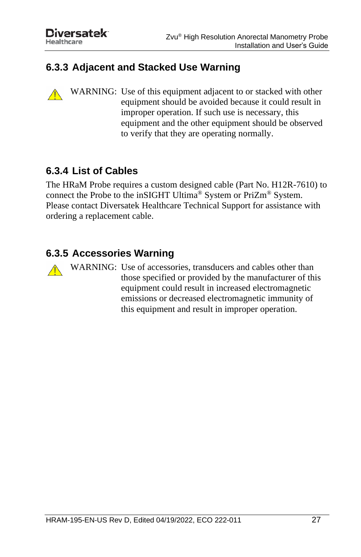#### <span id="page-32-0"></span>**6.3.3 Adjacent and Stacked Use Warning**

WARNING: Use of this equipment adjacent to or stacked with other equipment should be avoided because it could result in improper operation. If such use is necessary, this equipment and the other equipment should be observed to verify that they are operating normally.

#### <span id="page-32-1"></span>**6.3.4 List of Cables**

The HRaM Probe requires a custom designed cable (Part No. H12R-7610) to connect the Probe to the inSIGHT Ultima® System or PriZm® System. Please contact Diversatek Healthcare Technical Support for assistance with ordering a replacement cable.

#### <span id="page-32-2"></span>**6.3.5 Accessories Warning**

WARNING: Use of accessories, transducers and cables other than those specified or provided by the manufacturer of this equipment could result in increased electromagnetic emissions or decreased electromagnetic immunity of this equipment and result in improper operation.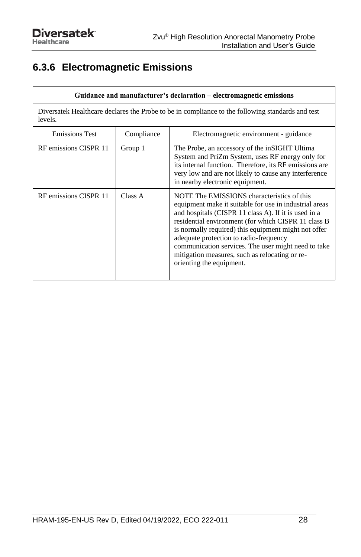#### <span id="page-33-0"></span>**6.3.6 Electromagnetic Emissions**

#### **Guidance and manufacturer's declaration – electromagnetic emissions**

Diversatek Healthcare declares the Probe to be in compliance to the following standards and test levels.

| <b>Emissions Test</b> | Compliance | Electromagnetic environment - guidance                                                                                                                                                                                                                                                                                                                                                                                                                     |  |
|-----------------------|------------|------------------------------------------------------------------------------------------------------------------------------------------------------------------------------------------------------------------------------------------------------------------------------------------------------------------------------------------------------------------------------------------------------------------------------------------------------------|--|
| RF emissions CISPR 11 | Group 1    | The Probe, an accessory of the inSIGHT Ultima<br>System and PriZm System, uses RF energy only for<br>its internal function. Therefore, its RF emissions are<br>very low and are not likely to cause any interference<br>in nearby electronic equipment.                                                                                                                                                                                                    |  |
| RF emissions CISPR 11 | Class A    | NOTE The EMISSIONS characteristics of this<br>equipment make it suitable for use in industrial areas<br>and hospitals (CISPR 11 class A). If it is used in a<br>residential environment (for which CISPR 11 class B<br>is normally required) this equipment might not offer<br>adequate protection to radio-frequency<br>communication services. The user might need to take<br>mitigation measures, such as relocating or re-<br>orienting the equipment. |  |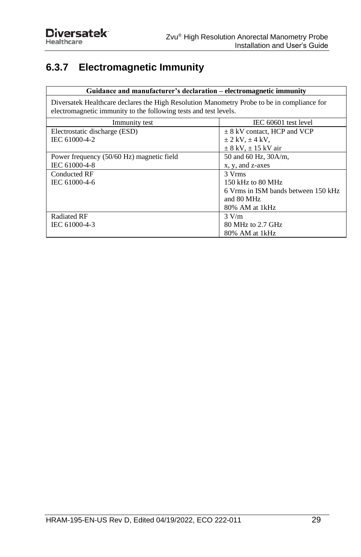#### <span id="page-34-0"></span>**6.3.7 Electromagnetic Immunity**

#### **Guidance and manufacturer's declaration – electromagnetic immunity**

Diversatek Healthcare declares the High Resolution Manometry Probe to be in compliance for electromagnetic immunity to the following tests and test levels.

| Immunity test                             | IEC 60601 test level                |  |  |
|-------------------------------------------|-------------------------------------|--|--|
| Electrostatic discharge (ESD)             | $\pm$ 8 kV contact, HCP and VCP     |  |  |
| IEC 61000-4-2                             | $\pm$ 2 kV, $\pm$ 4 kV,             |  |  |
|                                           | $\pm$ 8 kV, $\pm$ 15 kV air         |  |  |
| Power frequency (50/60 Hz) magnetic field | 50 and 60 Hz, 30A/m,                |  |  |
| IEC 61000-4-8                             | x, y, and z-axes                    |  |  |
| Conducted RF                              | 3 Vrms                              |  |  |
| IEC 61000-4-6                             | $150$ kHz to $80$ MHz               |  |  |
|                                           | 6 Vrms in ISM bands between 150 kHz |  |  |
|                                           | and 80 MHz                          |  |  |
|                                           | 80% AM at 1kHz                      |  |  |
| Radiated RF                               | 3 V/m                               |  |  |
| IEC 61000-4-3                             | 80 MHz to 2.7 GHz                   |  |  |
|                                           | 80% AM at 1kHz                      |  |  |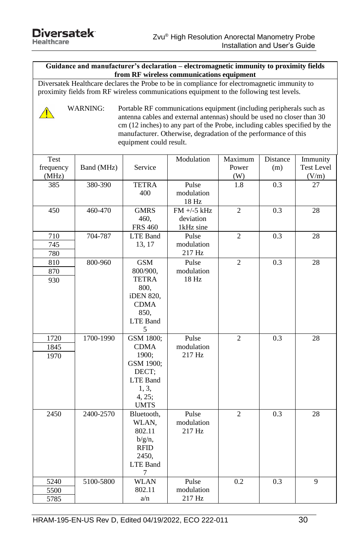**Guidance and manufacturer's declaration – electromagnetic immunity to proximity fields from RF wireless communications equipment**

Diversatek Healthcare declares the Probe to be in compliance for electromagnetic immunity to proximity fields from RF wireless communications equipment to the following test levels.

WARNING: Portable RF communications equipment (including peripherals such as antenna cables and external antennas) should be used no closer than 30 cm (12 inches) to any part of the Probe, including cables specified by the manufacturer. Otherwise, degradation of the performance of this equipment could result.

| Test<br>frequency<br>(MHz) | Band (MHz) | Service                                                                                                      | Modulation                              | Maximum<br>Power<br>(W) | Distance<br>(m) | Immunity<br><b>Test Level</b><br>(V/m) |
|----------------------------|------------|--------------------------------------------------------------------------------------------------------------|-----------------------------------------|-------------------------|-----------------|----------------------------------------|
| 385                        | 380-390    | <b>TETRA</b><br>400                                                                                          | Pulse<br>modulation<br>18 Hz            | 1.8                     | 0.3             | 27                                     |
| 450                        | 460-470    | <b>GMRS</b><br>460,<br><b>FRS 460</b>                                                                        | $FM +/-5 kHz$<br>deviation<br>1kHz sine | $\mathbf{2}$            | 0.3             | 28                                     |
| 710<br>745<br>780          | 704-787    | LTE Band<br>13, 17                                                                                           | Pulse<br>modulation<br>217 Hz           | $\overline{2}$          | 0.3             | 28                                     |
| 810<br>870<br>930          | 800-960    | <b>GSM</b><br>800/900,<br><b>TETRA</b><br>800,<br>iDEN 820,<br><b>CDMA</b><br>850,<br><b>LTE Band</b><br>5   | Pulse<br>modulation<br>18 Hz            | 2                       | 0.3             | 28                                     |
| 1720<br>1845<br>1970       | 1700-1990  | GSM 1800;<br><b>CDMA</b><br>1900;<br>GSM 1900;<br>DECT;<br><b>LTE Band</b><br>1, 3,<br>4, 25;<br><b>UMTS</b> | Pulse<br>modulation<br>217 Hz           | $\overline{c}$          | 0.3             | 28                                     |
| 2450                       | 2400-2570  | Bluetooth,<br>WLAN,<br>802.11<br>$b/g/n$ ,<br><b>RFID</b><br>2450,<br>LTE Band<br>7                          | Pulse<br>modulation<br>217 Hz           | $\mathbf{2}$            | 0.3             | 28                                     |
| 5240<br>5500<br>5785       | 5100-5800  | <b>WLAN</b><br>802.11<br>a/n                                                                                 | Pulse<br>modulation<br>217 Hz           | 0.2                     | 0.3             | 9                                      |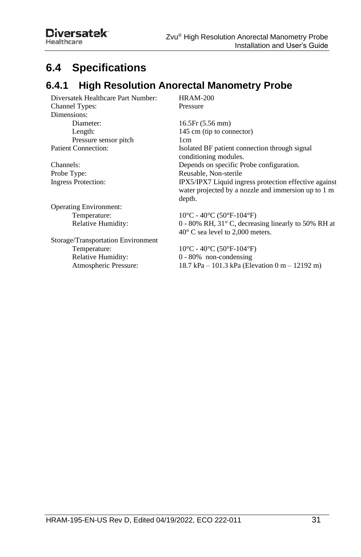# <span id="page-36-0"></span>**6.4 Specifications**

#### <span id="page-36-1"></span>**6.4.1 High Resolution Anorectal Manometry Probe**

Diversatek Healthcare Part Number: HRAM-200 Channel Types: Dimensions: Diameter: 16.5Fr (5.56 mm)<br>Length: 145 cm (tip to cor Pressure sensor pitch 1cm

145 cm (tip to connector) Patient Connection: Isolated BF patient connection through signal conditioning modules. Channels: Depends on specific Probe configuration. Probe Type: Reusable, Non-sterile Ingress Protection: IPX5/IPX7 Liquid ingress protection effective against water projected by a nozzle and immersion up to 1 m depth.

Operating Environment:

Storage/Transportation Environment Temperature: 10°C - 40°C (50°F-104°F)<br>Relative Humidity: 0 - 80% non-condensing

Temperature:  $10^{\circ}$ C -  $40^{\circ}$ C (50 $^{\circ}$ F-104 $^{\circ}$ F) Relative Humidity: 0 - 80% RH, 31° C, decreasing linearly to 50% RH at 40° C sea level to 2,000 meters.

 $0 - 80\%$  non-condensing Atmospheric Pressure: 18.7 kPa – 101.3 kPa (Elevation 0 m – 12192 m)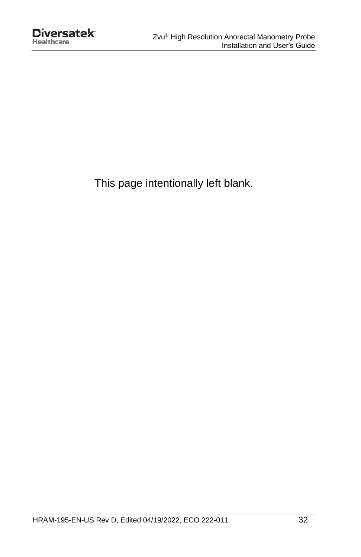This page intentionally left blank.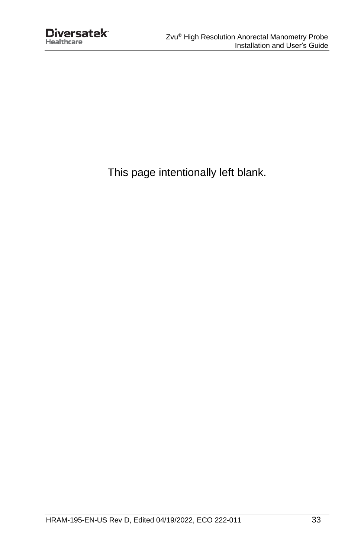This page intentionally left blank.